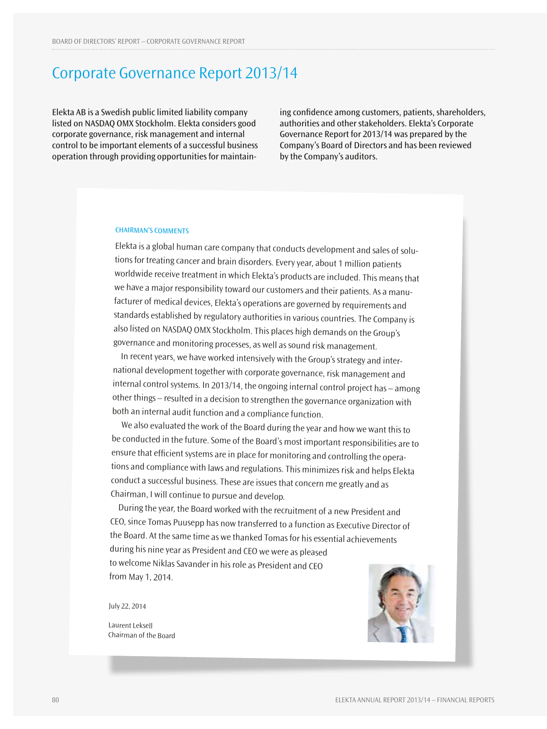# Corporate Governance Report 2013/14

Elekta AB is a Swedish public limited liability company listed on NASDAQ OMX Stockholm. Elekta considers good corporate governance, risk management and internal control to be important elements of a successful business operation through providing opportunities for maintain-

ing confidence among customers, patients, shareholders, authorities and other stakeholders. Elekta's Corporate Governance Report for 2013/14 was prepared by the Company's Board of Directors and has been reviewed by the Company's auditors.

### **CHAIRMAN'S COMMENTS**

Elekta is a global human care company that conducts development and sales of solutions for treating cancer and brain disorders. Every year, about 1 million patients worldwide receive treatment in which Elekta's products are included. This means that we have a major responsibility toward our customers and their patients. As a manufacturer of medical devices, Elekta's operations are governed by requirements and standards established by regulatory authorities in various countries. The Company is also listed on NASDAQ OMX Stockholm. This places high demands on the Group's governance and monitoring processes, as well as sound risk management.

In recent years, we have worked intensively with the Group's strategy and international development together with corporate governance, risk management and internal control systems. In 2013/14, the ongoing internal control project has – among other things – resulted in a decision to strengthen the governance organization with both an internal audit function and a compliance function.

 We also evaluated the work of the Board during the year and how we want this to be conducted in the future. Some of the Board's most important responsibilities are to ensure that efficient systems are in place for monitoring and controlling the operations and compliance with laws and regulations. This minimizes risk and helps Elekta conduct a successful business. These are issues that concern me greatly and as Chairman, I will continue to pursue and develop.

During the year, the Board worked with the recruitment of a new President and CEO, since Tomas Puusepp has now transferred to a function as Executive Director of the Board. At the same time as we thanked Tomas for his essential achievements during his nine year as President and CEO we were as pleased to welcome Niklas Savander in his role as President and CEO from May 1, 2014.

July 22, 2014

Laurent Leksell Chairman of the Board

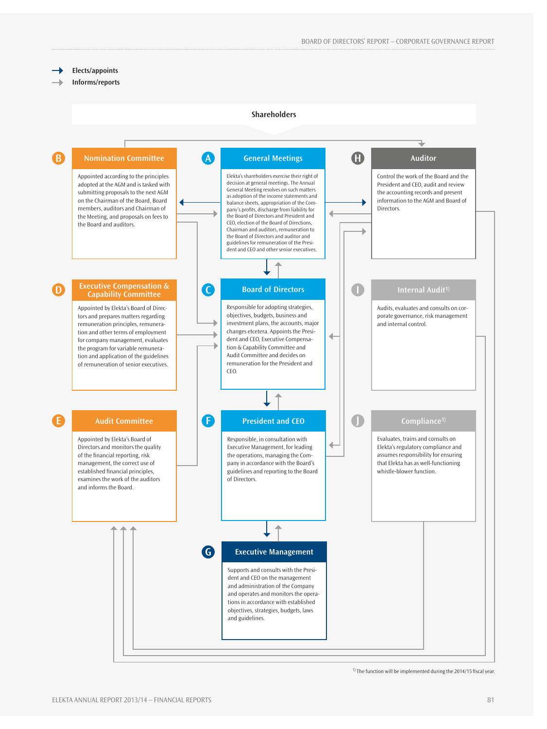### **Elects/appoints**

**Informs/reports**

### **Shareholders**



 $<sup>1</sup>$  The function will be implemented during the 2014/15 fiscal year.</sup>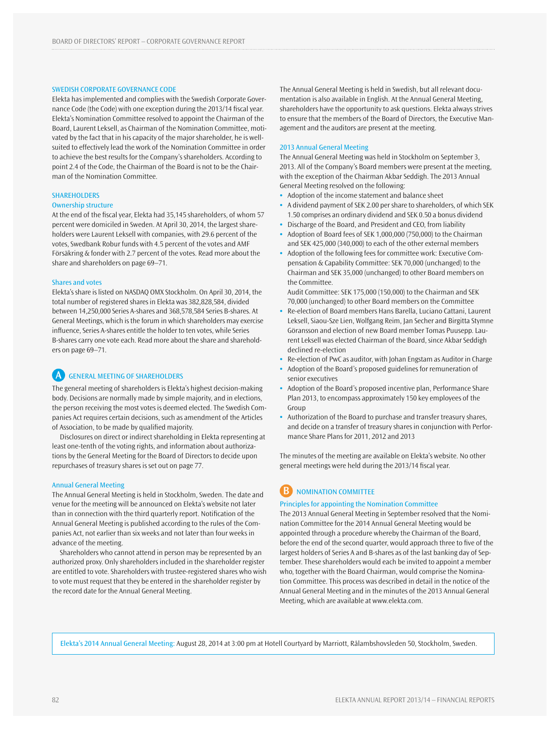### Swedish Corporate Governance Code

Elekta has implemented and complies with the Swedish Corporate Governance Code (the Code) with one exception during the 2013/14 fiscal year. Elekta's Nomination Committee resolved to appoint the Chairman of the Board, Laurent Leksell, as Chairman of the Nomination Committee, motivated by the fact that in his capacity of the major shareholder, he is wellsuited to effectively lead the work of the Nomination Committee in order to achieve the best results for the Company's shareholders. According to point 2.4 of the Code, the Chairman of the Board is not to be the Chairman of the Nomination Committee.

### **SHAREHOLDERS**

#### Ownership structure

At the end of the fiscal year, Elekta had 35,145 shareholders, of whom 57 percent were domiciled in Sweden. At April 30, 2014, the largest shareholders were Laurent Leksell with companies, with 29.6 percent of the votes, Swedbank Robur funds with 4.5 percent of the votes and AMF Försäkring & fonder with 2.7 percent of the votes. Read more about the share and shareholders on page 69–71.

### Shares and votes

Elekta's share is listed on NASDAQ OMX Stockholm. On April 30, 2014, the total number of registered shares in Elekta was 382,828,584, divided between 14,250,000 Series A-shares and 368,578,584 Series B-shares. At General Meetings, which is the forum in which shareholders may exercise influence, Series A-shares entitle the holder to ten votes, while Series B-shares carry one vote each. Read more about the share and shareholders on page 69–71.

### **A** GENERAL MEETING OF SHAREHOLDERS

The general meeting of shareholders is Elekta's highest decision-making body. Decisions are normally made by simple majority, and in elections, the person receiving the most votes is deemed elected. The Swedish Companies Act requires certain decisions, such as amendment of the Articles of Association, to be made by qualified majority.

Disclosures on direct or indirect shareholding in Elekta representing at least one-tenth of the voting rights, and information about authorizations by the General Meeting for the Board of Directors to decide upon repurchases of treasury shares is set out on page 77.

### Annual General Meeting

The Annual General Meeting is held in Stockholm, Sweden. The date and venue for the meeting will be announced on Elekta's website not later than in connection with the third quarterly report. Notification of the Annual General Meeting is published according to the rules of the Companies Act, not earlier than six weeks and not later than four weeks in advance of the meeting.

Shareholders who cannot attend in person may be represented by an authorized proxy. Only shareholders included in the shareholder register are entitled to vote. Shareholders with trustee-registered shares who wish to vote must request that they be entered in the shareholder register by the record date for the Annual General Meeting.

The Annual General Meeting is held in Swedish, but all relevant documentation is also available in English. At the Annual General Meeting, shareholders have the opportunity to ask questions. Elekta always strives to ensure that the members of the Board of Directors, the Executive Management and the auditors are present at the meeting.

#### 2013 Annual General Meeting

The Annual General Meeting was held in Stockholm on September 3, 2013. All of the Company's Board members were present at the meeting, with the exception of the Chairman Akbar Seddigh. The 2013 Annual General Meeting resolved on the following:

- **•** Adoption of the income statement and balance sheet
- **•** A dividend payment of SEK 2.00 per share to shareholders, of which SEK 1.50 comprises an ordinary dividend and SEK 0.50 a bonus dividend
- **•** Discharge of the Board, and President and CEO, from liability **•** Adoption of Board fees of SEK 1,000,000 (750,000) to the Chairman
- and SEK 425,000 (340,000) to each of the other external members
- **•** Adoption of the following fees for committee work: Executive Compensation & Capability Committee: SEK 70,000 (unchanged) to the Chairman and SEK 35,000 (unchanged) to other Board members on the Committee.

Audit Committee: SEK 175,000 (150,000) to the Chairman and SEK 70,000 (unchanged) to other Board members on the Committee

- **•** Re-election of Board members Hans Barella, Luciano Cattani, Laurent Leksell, Siaou-Sze Lien, Wolfgang Reim, Jan Secher and Birgitta Stymne Göransson and election of new Board member Tomas Puusepp. Laurent Leksell was elected Chairman of the Board, since Akbar Seddigh declined re-election
- **•** Re-election of PwC as auditor, with Johan Engstam as Auditor in Charge
- **•** Adoption of the Board's proposed guidelines for remuneration of senior executives
- **•** Adoption of the Board's proposed incentive plan, Performance Share Plan 2013, to encompass approximately 150 key employees of the Group
- **•** Authorization of the Board to purchase and transfer treasury shares, and decide on a transfer of treasury shares in conjunction with Performance Share Plans for 2011, 2012 and 2013

The minutes of the meeting are available on Elekta's website. No other general meetings were held during the 2013/14 fiscal year.

### **B** NOMINATION COMMITTEE

### Principles for appointing the Nomination Committee

The 2013 Annual General Meeting in September resolved that the Nomination Committee for the 2014 Annual General Meeting would be appointed through a procedure whereby the Chairman of the Board, before the end of the second quarter, would approach three to five of the largest holders of Series A and B-shares as of the last banking day of September. These shareholders would each be invited to appoint a member who, together with the Board Chairman, would comprise the Nomination Committee. This process was described in detail in the notice of the Annual General Meeting and in the minutes of the 2013 Annual General Meeting, which are available at www.elekta.com.

Elekta's 2014 Annual General Meeting: August 28, 2014 at 3:00 pm at Hotell Courtyard by Marriott, Rålambshovsleden 50, Stockholm, Sweden.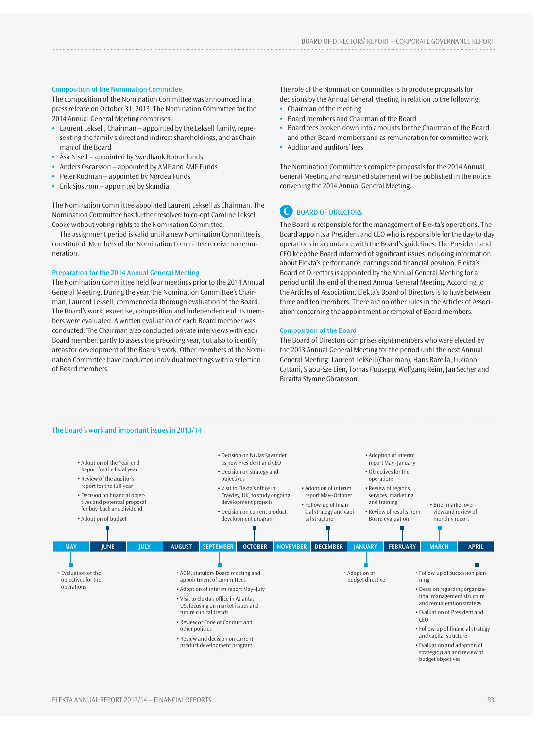### Composition of the Nomination Committee

The composition of the Nomination Committee was announced in a press release on October 31, 2013. The Nomination Committee for the 2014 Annual General Meeting comprises:

- **•** Laurent Leksell, Chairman appointed by the Leksell family, representing the family's direct and indirect shareholdings, and as Chairman of the Board
- **•** Åsa Nisell appointed by Swedbank Robur funds
- **•** Anders Oscarsson appointed by AMF and AMF Funds
- **•** Peter Rudman appointed by Nordea Funds
- **•** Erik Sjöström appointed by Skandia

The Nomination Committee appointed Laurent Leksell as Chairman. The Nomination Committee has further resolved to co-opt Caroline Leksell Cooke without voting rights to the Nomination Committee.

The assignment period is valid until a new Nomination Committee is constituted. Members of the Nomination Committee receive no remuneration.

### Preparation for the 2014 Annual General Meeting

The Nomination Committee held four meetings prior to the 2014 Annual General Meeting. During the year, the Nomination Committee's Chairman, Laurent Leksell, commenced a thorough evaluation of the Board. The Board's work, expertise, composition and independence of its members were evaluated. A written evaluation of each Board member was conducted. The Chairman also conducted private interviews with each Board member, partly to assess the preceding year, but also to identify areas for development of the Board's work. Other members of the Nomination Committee have conducted individual meetings with a selection of Board members.

The role of the Nomination Committee is to produce proposals for decisions by the Annual General Meeting in relation to the following:

- **•** Chairman of the meeting
- **•** Board members and Chairman of the Board
- **•** Board fees broken down into amounts for the Chairman of the Board and other Board members and as remuneration for committee work
- **•** Auditor and auditors' fees

The Nomination Committee's complete proposals for the 2014 Annual General Meeting and reasoned statement will be published in the notice convening the 2014 Annual General Meeting.

### **C** BOARD OF DIRECTORS

The Board is responsible for the management of Elekta's operations. The Board appoints a President and CEO who is responsible for the day-to-day operations in accordance with the Board's guidelines. The President and CEO keep the Board informed of significant issues including information about Elekta's performance, earnings and financial position. Elekta's Board of Directors is appointed by the Annual General Meeting for a period until the end of the next Annual General Meeting. According to the Articles of Association, Elekta's Board of Directors is to have between three and ten members. There are no other rules in the Articles of Association concerning the appointment or removal of Board members.

### Composition of the Board

The Board of Directors comprises eight members who were elected by the 2013 Annual General Meeting for the period until the next Annual General Meeting: Laurent Leksell (Chairman), Hans Barella, Luciano Cattani, Siaou-Sze Lien, Tomas Puusepp, Wolfgang Reim, Jan Secher and Birgitta Stymne Göransson.

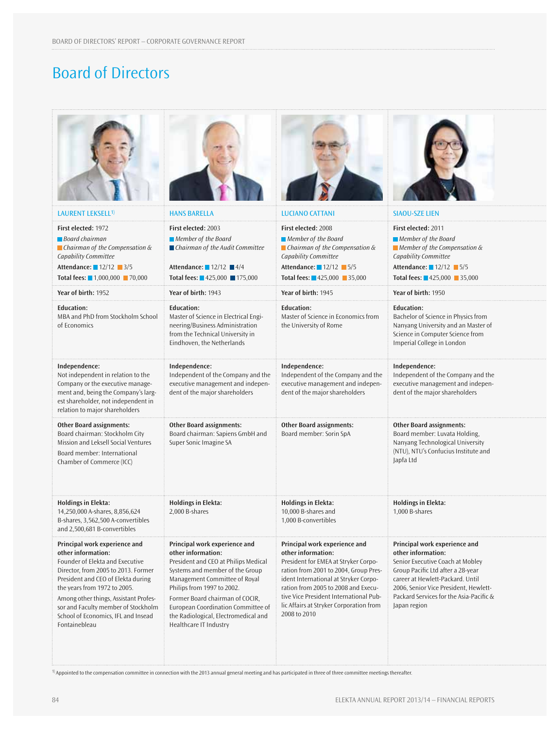# Board of Directors

| LAURENT LEKSELL <sup>1)</sup>                                                                                                                                                                                                                                                                                                               | <b>HANS BARELLA</b>                                                                                                                                                                                                                                                                                                                      | <b>LUCIANO CATTANI</b>                                                                                                                                                                                                                                                                                                    | <b>SIAOU-SZE LIEN</b>                                                                                                                                                                                                                                                |
|---------------------------------------------------------------------------------------------------------------------------------------------------------------------------------------------------------------------------------------------------------------------------------------------------------------------------------------------|------------------------------------------------------------------------------------------------------------------------------------------------------------------------------------------------------------------------------------------------------------------------------------------------------------------------------------------|---------------------------------------------------------------------------------------------------------------------------------------------------------------------------------------------------------------------------------------------------------------------------------------------------------------------------|----------------------------------------------------------------------------------------------------------------------------------------------------------------------------------------------------------------------------------------------------------------------|
| First elected: 1972<br>Board chairman<br>$\blacksquare$ Chairman of the Compensation &<br>Capability Committee<br>Attendance: 12/12 3/5<br>Total fees: ■ 1,000,000 ■ 70,000                                                                                                                                                                 | First elected: 2003<br>Member of the Board<br>$\blacksquare$ Chairman of the Audit Committee<br>Attendance: $12/12$ $4/4$<br>Total fees: ■425,000 ■175,000                                                                                                                                                                               | First elected: 2008<br>Member of the Board<br>$\blacksquare$ Chairman of the Compensation &<br>Capability Committee<br>Attendance: 12/12 5/5<br><b>Total fees:</b> $425,000$ 35,000                                                                                                                                       | First elected: 2011<br>Member of the Board<br>$\blacksquare$ Member of the Compensation &<br>Capability Committee<br>Attendance: 12/12 5/5<br>Total fees: ■425,000 ■ 35,000                                                                                          |
| Year of birth: 1952                                                                                                                                                                                                                                                                                                                         | Year of birth: 1943                                                                                                                                                                                                                                                                                                                      | Year of birth: 1945                                                                                                                                                                                                                                                                                                       | Year of birth: 1950                                                                                                                                                                                                                                                  |
| Education:<br>MBA and PhD from Stockholm School<br>of Economics                                                                                                                                                                                                                                                                             | <b>Education:</b><br>Master of Science in Electrical Engi-<br>neering/Business Administration<br>from the Technical University in<br>Eindhoven, the Netherlands                                                                                                                                                                          | <b>Education:</b><br>Master of Science in Economics from<br>the University of Rome                                                                                                                                                                                                                                        | <b>Education:</b><br>Bachelor of Science in Physics from<br>Nanyang University and an Master of<br>Science in Computer Science from<br>Imperial College in London                                                                                                    |
| Independence:<br>Not independent in relation to the<br>Company or the executive manage-<br>ment and, being the Company's larg-<br>est shareholder, not independent in<br>relation to major shareholders                                                                                                                                     | Independence:<br>Independent of the Company and the<br>executive management and indepen-<br>dent of the major shareholders                                                                                                                                                                                                               | Independence:<br>Independent of the Company and the<br>executive management and indepen-<br>dent of the major shareholders                                                                                                                                                                                                | Independence:<br>Independent of the Company and the<br>executive management and indepen-<br>dent of the major shareholders                                                                                                                                           |
| <b>Other Board assignments:</b><br>Board chairman: Stockholm City<br>Mission and Leksell Social Ventures<br>Board member: International<br>Chamber of Commerce (ICC)                                                                                                                                                                        | <b>Other Board assignments:</b><br>Board chairman: Sapiens GmbH and<br>Super Sonic Imagine SA                                                                                                                                                                                                                                            | <b>Other Board assignments:</b><br>Board member: Sorin SpA                                                                                                                                                                                                                                                                | <b>Other Board assignments:</b><br>Board member: Luvata Holding,<br>Nanyang Technological University<br>(NTU), NTU's Confucius Institute and<br>Japfa Ltd                                                                                                            |
| <b>Holdings in Elekta:</b><br>14,250,000 A-shares, 8,856,624<br>B-shares, 3,562,500 A-convertibles<br>and 2,500,681 B-convertibles                                                                                                                                                                                                          | <b>Holdings in Elekta:</b><br>2,000 B-shares                                                                                                                                                                                                                                                                                             | <b>Holdings in Elekta:</b><br>10,000 B-shares and<br>1,000 B-convertibles                                                                                                                                                                                                                                                 | <b>Holdings in Elekta:</b><br>1,000 B-shares                                                                                                                                                                                                                         |
| Principal work experience and<br>other information:<br>Founder of Elekta and Executive<br>Director, from 2005 to 2013. Former<br>President and CEO of Elekta during<br>the years from 1972 to 2005.<br>Among other things, Assistant Profes-<br>sor and Faculty member of Stockholm<br>School of Economics, IFL and Insead<br>Fontainebleau | Principal work experience and<br>other information:<br>President and CEO at Philips Medical<br>Systems and member of the Group<br>Management Committee of Royal<br>Philips from 1997 to 2002.<br>Former Board chairman of COCIR,<br>European Coordination Committee of<br>the Radiological, Electromedical and<br>Healthcare IT Industry | Principal work experience and<br>other information:<br>President for EMEA at Stryker Corpo-<br>ration from 2001 to 2004, Group Pres-<br>ident International at Stryker Corpo-<br>ration from 2005 to 2008 and Execu-<br>tive Vice President International Pub-<br>lic Affairs at Stryker Corporation from<br>2008 to 2010 | Principal work experience and<br>other information:<br>Senior Executive Coach at Mobley<br>Group Pacific Ltd after a 28-year<br>career at Hewlett-Packard. Until<br>2006, Senior Vice President, Hewlett-<br>Packard Services for the Asia-Pacific &<br>Japan region |

<sup>1)</sup> Appointed to the compensation committee in connection with the 2013 annual general meeting and has participated in three of three committee meetings thereafter.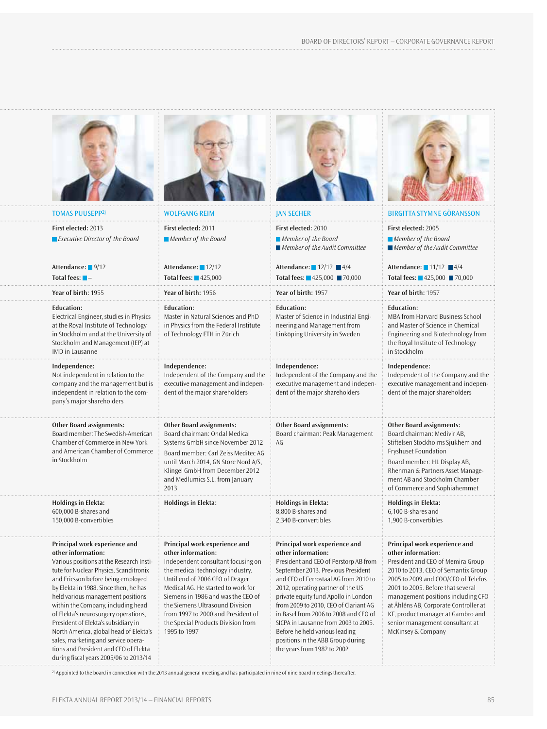





### **Independence:**

1995 to 1997





| <b>TOMAS PUUSEPP2)</b>                                                                                                                                                                                                                                                                                                                      | <b>WOLFGANG REIM</b>                                                                                                                                                                                                                                                                                                  | <b>JAN SECHER</b>                                                                                                                                                                                                                                                                                                                          | <b>BIRGITTA STYMNE GÖRANSSON</b>                                                                                                                                                                                                                                                                                                |
|---------------------------------------------------------------------------------------------------------------------------------------------------------------------------------------------------------------------------------------------------------------------------------------------------------------------------------------------|-----------------------------------------------------------------------------------------------------------------------------------------------------------------------------------------------------------------------------------------------------------------------------------------------------------------------|--------------------------------------------------------------------------------------------------------------------------------------------------------------------------------------------------------------------------------------------------------------------------------------------------------------------------------------------|---------------------------------------------------------------------------------------------------------------------------------------------------------------------------------------------------------------------------------------------------------------------------------------------------------------------------------|
| First elected: 2013<br>$\blacksquare$ Executive Director of the Board                                                                                                                                                                                                                                                                       | First elected: 2011<br>Member of the Board                                                                                                                                                                                                                                                                            | First elected: 2010<br>Member of the Board<br>$\blacksquare$ Member of the Audit Committee                                                                                                                                                                                                                                                 | First elected: 2005<br>Member of the Board<br>$\blacksquare$ Member of the Audit Committee                                                                                                                                                                                                                                      |
| Attendance: 9/12<br>Total fees: $\blacksquare$ -                                                                                                                                                                                                                                                                                            | Attendance: 12/12<br>Total fees: $425.000$                                                                                                                                                                                                                                                                            | Attendance: $12/12$ $4/4$<br>Total fees: 425,000 ₹70,000                                                                                                                                                                                                                                                                                   | Attendance: $11/12$ $4/4$<br>Total fees: ■425,000 ■70,000                                                                                                                                                                                                                                                                       |
| Year of birth: 1955                                                                                                                                                                                                                                                                                                                         | Year of birth: 1956                                                                                                                                                                                                                                                                                                   | Year of birth: 1957                                                                                                                                                                                                                                                                                                                        | Year of birth: 1957                                                                                                                                                                                                                                                                                                             |
| <b>Education:</b><br>Electrical Engineer, studies in Physics<br>at the Royal Institute of Technology<br>in Stockholm and at the University of<br>Stockholm and Management (IEP) at<br>IMD in Lausanne                                                                                                                                       | <b>Education:</b><br>Master in Natural Sciences and PhD<br>in Physics from the Federal Institute<br>of Technology ETH in Zürich                                                                                                                                                                                       | <b>Education:</b><br>Master of Science in Industrial Engi-<br>neering and Management from<br>Linköping University in Sweden                                                                                                                                                                                                                | <b>Education:</b><br>MBA from Harvard Business School<br>and Master of Science in Chemical<br>Engineering and Biotechnology from<br>the Royal Institute of Technology<br>in Stockholm                                                                                                                                           |
| Independence:<br>Not independent in relation to the<br>company and the management but is<br>independent in relation to the com-<br>pany's major shareholders                                                                                                                                                                                | Independence:<br>Independent of the Company and the<br>executive management and indepen-<br>dent of the major shareholders                                                                                                                                                                                            | Independence:<br>Independent of the Company and the<br>executive management and indepen-<br>dent of the major shareholders                                                                                                                                                                                                                 | Independence:<br>Independent of the Company and the<br>executive management and indepen-<br>dent of the major shareholders                                                                                                                                                                                                      |
| <b>Other Board assignments:</b><br>Board member: The Swedish-American<br>Chamber of Commerce in New York<br>and American Chamber of Commerce<br>in Stockholm                                                                                                                                                                                | <b>Other Board assignments:</b><br>Board chairman: Ondal Medical<br>Systems GmbH since November 2012<br>Board member: Carl Zeiss Meditec AG<br>until March 2014, GN Store Nord A/S,<br>Klingel GmbH from December 2012<br>and Medlumics S.L. from January<br>2013                                                     | <b>Other Board assignments:</b><br>Board chairman: Peak Management<br>AG                                                                                                                                                                                                                                                                   | <b>Other Board assignments:</b><br>Board chairman: Medivir AB,<br>Stiftelsen Stockholms Sjukhem and<br><b>Fryshuset Foundation</b><br>Board member: HL Display AB,<br>Rhenman & Partners Asset Manage-<br>ment AB and Stockholm Chamber<br>of Commerce and Sophiahemmet                                                         |
| <b>Holdings in Elekta:</b><br>600,000 B-shares and<br>150,000 B-convertibles                                                                                                                                                                                                                                                                | <b>Holdings in Elekta:</b>                                                                                                                                                                                                                                                                                            | <b>Holdings in Elekta:</b><br>8.800 B-shares and<br>2,340 B-convertibles                                                                                                                                                                                                                                                                   | <b>Holdings in Elekta:</b><br>6,100 B-shares and<br>1,900 B-convertibles                                                                                                                                                                                                                                                        |
| Principal work experience and<br>other information:<br>Various positions at the Research Insti-<br>tute for Nuclear Physics, Scanditronix<br>and Ericsson before being employed<br>by Elekta in 1988. Since then, he has<br>held various management positions<br>within the Company, including head<br>of Elekta's neurosurgery operations, | Principal work experience and<br>other information:<br>Independent consultant focusing on<br>the medical technology industry.<br>Until end of 2006 CEO of Dräger<br>Medical AG. He started to work for<br>Siemens in 1986 and was the CEO of<br>the Siemens Ultrasound Division<br>from 1997 to 2000 and President of | Principal work experience and<br>other information:<br>President and CEO of Perstorp AB from<br>September 2013. Previous President<br>and CEO of Ferrostaal AG from 2010 to<br>2012, operating partner of the US<br>private equity fund Apollo in London<br>from 2009 to 2010, CEO of Clariant AG<br>in Basel from 2006 to 2008 and CEO of | Principal work experience and<br>other information:<br>President and CEO of Memira Group<br>2010 to 2013. CEO of Semantix Group<br>2005 to 2009 and COO/CFO of Telefos<br>2001 to 2005. Before that several<br>management positions including CFO<br>at Åhléns AB, Corporate Controller at<br>KF, product manager at Gambro and |

senior management consultant at

McKinsey & Company

### **Principal work experience and other information:**

Various positions at the Research Institute for Nuclear Physics, Scanditronix and Ericsson before being employed by Elekta in 1988. Since then, he has held various management positions within the Company, including head of Elekta's neurosurgery operations, President of Elekta's subsidiary in North America, global head of Elekta's sales, marketing and service operations and President and CEO of Elekta during fiscal years 2005/06 to 2013/14

**Principal work experience and**  Independent consultant focusing on the medical technology industry. Until end of 2006 CEO of Dräger Medical AG. He started to work for Siemens in 1986 and was the CEO of the Siemens Ultrasound Division from 1997 to 2000 and President of the Special Products Division from **Principal work experience other information:** President and CEO of Persto September 2013. Previous P and CEO of Ferrostaal AG fro 2012, operating partner of t private equity fund Apollo in from 2009 to 2010, CEO of C in Basel from 2006 to 2008 and CEO of SICPA in Lausanne from 2003 to 2005. Before he held various leading positions in the ABB Group during

the years from 1982 to 2002

### <sup>2)</sup> Appointed to the board in connection with the 2013 annual general meeting and has participated in nine of nine board meetings thereafter.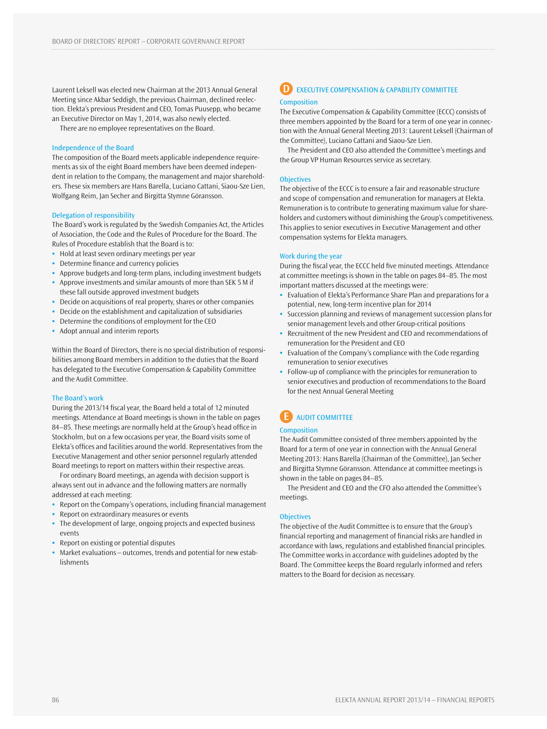Laurent Leksell was elected new Chairman at the 2013 Annual General Meeting since Akbar Seddigh, the previous Chairman, declined reelection. Elekta's previous President and CEO, Tomas Puusepp, who became an Executive Director on May 1, 2014, was also newly elected.

There are no employee representatives on the Board.

#### Independence of the Board

The composition of the Board meets applicable independence requirements as six of the eight Board members have been deemed independent in relation to the Company, the management and major shareholders. These six members are Hans Barella, Luciano Cattani, Siaou-Sze Lien, Wolfgang Reim, Jan Secher and Birgitta Stymne Göransson.

### Delegation of responsibility

The Board's work is regulated by the Swedish Companies Act, the Articles of Association, the Code and the Rules of Procedure for the Board. The Rules of Procedure establish that the Board is to:

- **•** Hold at least seven ordinary meetings per year
- **•** Determine finance and currency policies
- **•** Approve budgets and long-term plans, including investment budgets
- **•** Approve investments and similar amounts of more than SEK 5 M if these fall outside approved investment budgets
- **•** Decide on acquisitions of real property, shares or other companies
- **•** Decide on the establishment and capitalization of subsidiaries
- **•** Determine the conditions of employment for the CEO
- **•** Adopt annual and interim reports

Within the Board of Directors, there is no special distribution of responsibilities among Board members in addition to the duties that the Board has delegated to the Executive Compensation & Capability Committee and the Audit Committee.

### The Board's work

During the 2013/14 fiscal year, the Board held a total of 12 minuted meetings. Attendance at Board meetings is shown in the table on pages 84–85. These meetings are normally held at the Group's head office in Stockholm, but on a few occasions per year, the Board visits some of Elekta's offices and facilities around the world. Representatives from the Executive Management and other senior personnel regularly attended Board meetings to report on matters within their respective areas.

For ordinary Board meetings, an agenda with decision support is always sent out in advance and the following matters are normally addressed at each meeting:

- **•** Report on the Company's operations, including financial management
- **•** Report on extraordinary measures or events
- **•** The development of large, ongoing projects and expected business events
- **•** Report on existing or potential disputes
- **•** Market evaluations outcomes, trends and potential for new establishments

### **D** EXECUTIVE COMPENSATION & CAPABILITY COMMITTEE **Composition**

The Executive Compensation & Capability Committee (ECCC) consists of three members appointed by the Board for a term of one year in connection with the Annual General Meeting 2013: Laurent Leksell (Chairman of the Committee), Luciano Cattani and Siaou-Sze Lien.

The President and CEO also attended the Committee's meetings and the Group VP Human Resources service as secretary.

### **Objectives**

The objective of the ECCC is to ensure a fair and reasonable structure and scope of compensation and remuneration for managers at Elekta. Remuneration is to contribute to generating maximum value for shareholders and customers without diminishing the Group's competitiveness. This applies to senior executives in Executive Management and other compensation systems for Elekta managers.

#### Work during the year

During the fiscal year, the ECCC held five minuted meetings. Attendance at committee meetings is shown in the table on pages 84–85. The most important matters discussed at the meetings were:

- **•** Evaluation of Elekta's Performance Share Plan and preparations for a potential, new, long-term incentive plan for 2014
- **•** Succession planning and reviews of management succession plans for senior management levels and other Group-critical positions
- **•** Recruitment of the new President and CEO and recommendations of remuneration for the President and CEO
- **•** Evaluation of the Company's compliance with the Code regarding remuneration to senior executives
- **•** Follow-up of compliance with the principles for remuneration to senior executives and production of recommendations to the Board for the next Annual General Meeting

# **E** AUDIT COMMITTEE

### **Composition**

The Audit Committee consisted of three members appointed by the Board for a term of one year in connection with the Annual General Meeting 2013: Hans Barella (Chairman of the Committee), Jan Secher and Birgitta Stymne Göransson. Attendance at committee meetings is shown in the table on pages 84–85.

The President and CEO and the CFO also attended the Committee's meetings.

### **Objectives**

The objective of the Audit Committee is to ensure that the Group's financial reporting and management of financial risks are handled in accordance with laws, regulations and established financial principles. The Committee works in accordance with guidelines adopted by the Board. The Committee keeps the Board regularly informed and refers matters to the Board for decision as necessary.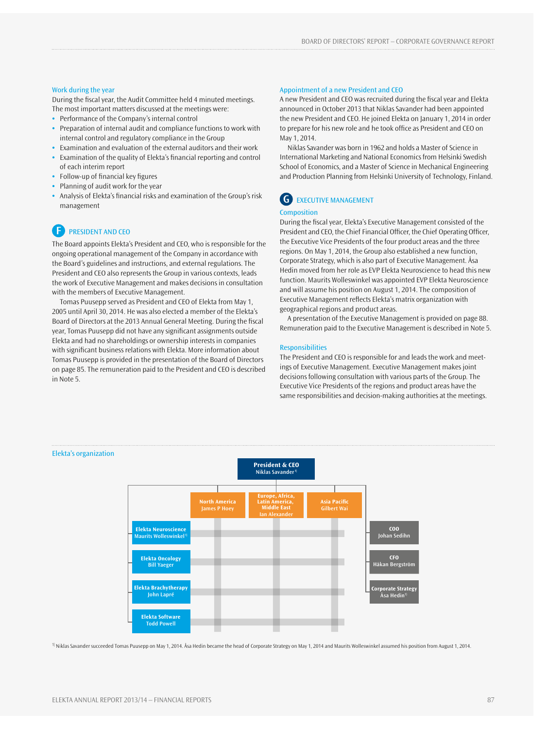### Work during the year

During the fiscal year, the Audit Committee held 4 minuted meetings. The most important matters discussed at the meetings were:

- **•** Performance of the Company's internal control
- **•** Preparation of internal audit and compliance functions to work with internal control and regulatory compliance in the Group
- **•** Examination and evaluation of the external auditors and their work
- **•** Examination of the quality of Elekta's financial reporting and control of each interim report
- **•** Follow-up of financial key figures
- **•** Planning of audit work for the year
- **•** Analysis of Elekta's financial risks and examination of the Group's risk management

## **F** PRESIDENT AND CEO

The Board appoints Elekta's President and CEO, who is responsible for the ongoing operational management of the Company in accordance with the Board's guidelines and instructions, and external regulations. The President and CEO also represents the Group in various contexts, leads the work of Executive Management and makes decisions in consultation with the members of Executive Management.

Tomas Puusepp served as President and CEO of Elekta from May 1, 2005 until April 30, 2014. He was also elected a member of the Elekta's Board of Directors at the 2013 Annual General Meeting. During the fiscal year, Tomas Puusepp did not have any significant assignments outside Elekta and had no shareholdings or ownership interests in companies with significant business relations with Elekta. More information about Tomas Puusepp is provided in the presentation of the Board of Directors on page 85. The remuneration paid to the President and CEO is described in Note 5.

### Appointment of a new President and CEO

A new President and CEO was recruited during the fiscal year and Elekta announced in October 2013 that Niklas Savander had been appointed the new President and CEO. He joined Elekta on January 1, 2014 in order to prepare for his new role and he took office as President and CEO on May 1, 2014.

Niklas Savander was born in 1962 and holds a Master of Science in International Marketing and National Economics from Helsinki Swedish School of Economics, and a Master of Science in Mechanical Engineering and Production Planning from Helsinki University of Technology, Finland.

# **G** EXECUTIVE MANAGEMENT

### **Composition**

During the fiscal year, Elekta's Executive Management consisted of the President and CEO, the Chief Financial Officer, the Chief Operating Officer, the Executive Vice Presidents of the four product areas and the three regions. On May 1, 2014, the Group also established a new function, Corporate Strategy, which is also part of Executive Management. Åsa Hedin moved from her role as EVP Elekta Neuroscience to head this new function. Maurits Wolleswinkel was appointed EVP Elekta Neuroscience and will assume his position on August 1, 2014. The composition of Executive Management reflects Elekta's matrix organization with geographical regions and product areas.

A presentation of the Executive Management is provided on page 88. Remuneration paid to the Executive Management is described in Note 5.

### **Responsibilities**

The President and CEO is responsible for and leads the work and meetings of Executive Management. Executive Management makes joint decisions following consultation with various parts of the Group. The Executive Vice Presidents of the regions and product areas have the same responsibilities and decision-making authorities at the meetings.



1) Niklas Savander succeeded Tomas Puusepp on May 1, 2014. Åsa Hedin became the head of Corporate Strategy on May 1, 2014 and Maurits Wolleswinkel assumed his position from August 1, 2014.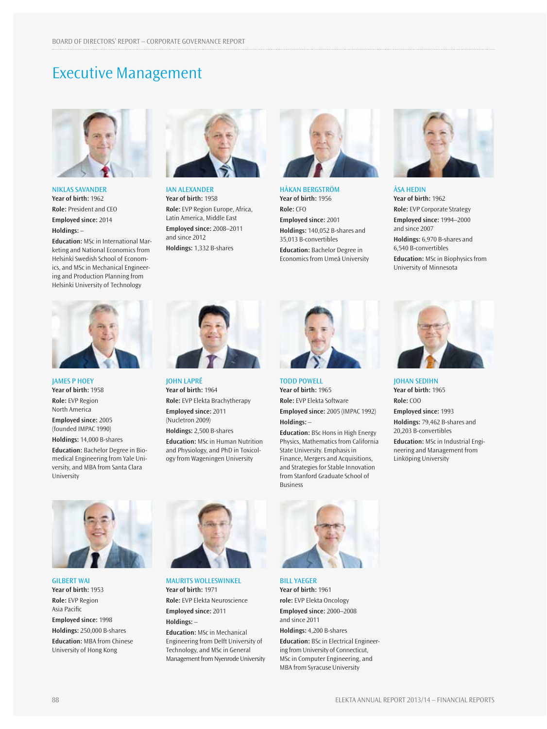# Executive Management



Niklas Savander **Year of birth:** 1962 **Role:** President and CEO **Employed since:** 2014 **Holdings:** –

**Education:** MSc in International Marketing and National Economics from Helsinki Swedish School of Economics, and MSc in Mechanical Engineering and Production Planning from Helsinki University of Technology



IAN ALEXANDER **Year of birth:** 1958 **Role:** EVP Region Europe, Africa, Latin America, Middle East **Employed since:** 2008–2011 and since 2012 **Holdings:** 1,332 B-shares



HÅKAN BERGSTRÖM **Year of birth:** 1956 **Role:** CFO **Employed since:** 2001 **Holdings:** 140,052 B-shares and 35,013 B-convertibles **Education:** Bachelor Degree in Economics from Umeå University



ÅSA HEDIN **Year of birth:** 1962 **Role:** EVP Corporate Strategy **Employed since:** 1994–2000 and since 2007 **Holdings:** 6,970 B-shares and 6,540 B-convertibles **Education:** MSc in Biophysics from University of Minnesota



JAMES P HOEY **Year of birth:** 1958 **Role:** EVP Region North America

**Employed since:** 2005 (founded IMPAC 1990)

**Holdings:** 14,000 B-shares **Education:** Bachelor Degree in Biomedical Engineering from Yale University, and MBA from Santa Clara University



JOHN LAPRÉ **Year of birth:** 1964 **Role:** EVP Elekta Brachytherapy **Employed since:** 2011 (Nucletron 2009) **Holdings:** 2,500 B-shares

**Education:** MSc in Human Nutrition and Physiology, and PhD in Toxicology from Wageningen University



TODD POWELL **Year of birth:** 1965 **Role:** EVP Elekta Software **Employed since:** 2005 (IMPAC 1992) **Holdings:** –

**Education:** BSc Hons in High Energy Physics, Mathematics from California State University. Emphasis in Finance, Mergers and Acquisitions, and Strategies for Stable Innovation from Stanford Graduate School of Business



JOHAN SEDIHN **Year of birth:** 1965 **Role:** COO

**Employed since:** 1993 **Holdings:** 79,462 B-shares and 20,203 B-convertibles

**Education:** MSc in Industrial Engineering and Management from Linköping University



GILBERT WAI **Year of birth:** 1953 **Role:** EVP Region Asia Pacific **Employed since:** 1998 **Holdings:** 250,000 B-shares **Education:** MBA from Chinese University of Hong Kong



Maurits Wolleswinkel **Year of birth:** 1971 **Role:** EVP Elekta Neuroscience **Employed since:** 2011 **Holdings:** –

**Education:** MSc in Mechanical Engineering from Delft University of Technology, and MSc in General Management from Nyenrode University



Bill Yaeger **Year of birth:** 1961 **role:** EVP Elekta Oncology **Employed since:** 2000–2008 and since 2011 **Holdings:** 4,200 B-shares

**Education:** BSc in Electrical Engineering from University of Connecticut, MSc in Computer Engineering, and MBA from Syracuse University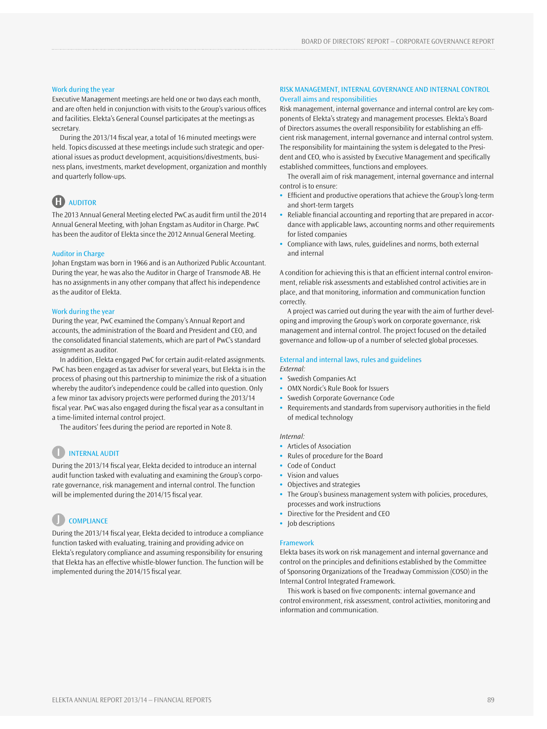### Work during the year

Executive Management meetings are held one or two days each month, and are often held in conjunction with visits to the Group's various offices and facilities. Elekta's General Counsel participates at the meetings as secretary.

During the 2013/14 fiscal year, a total of 16 minuted meetings were held. Topics discussed at these meetings include such strategic and operational issues as product development, acquisitions/divestments, business plans, investments, market development, organization and monthly and quarterly follow-ups.

# **H** AUDITOR

The 2013 Annual General Meeting elected PwC as audit firm until the 2014 Annual General Meeting, with Johan Engstam as Auditor in Charge. PwC has been the auditor of Elekta since the 2012 Annual General Meeting.

#### Auditor in Charge

Johan Engstam was born in 1966 and is an Authorized Public Accountant. During the year, he was also the Auditor in Charge of Transmode AB. He has no assignments in any other company that affect his independence as the auditor of Elekta.

### Work during the year

During the year, PwC examined the Company's Annual Report and accounts, the administration of the Board and President and CEO, and the consolidated financial statements, which are part of PwC's standard assignment as auditor.

In addition, Elekta engaged PwC for certain audit-related assignments. PwC has been engaged as tax adviser for several years, but Elekta is in the process of phasing out this partnership to minimize the risk of a situation whereby the auditor's independence could be called into question. Only a few minor tax advisory projects were performed during the 2013/14 fiscal year. PwC was also engaged during the fiscal year as a consultant in a time-limited internal control project.

The auditors' fees during the period are reported in Note 8.

### **I** INTERNAL AUDIT

During the 2013/14 fiscal year, Elekta decided to introduce an internal audit function tasked with evaluating and examining the Group's corporate governance, risk management and internal control. The function will be implemented during the 2014/15 fiscal year.

# **J** COMPLIANCE

During the 2013/14 fiscal year, Elekta decided to introduce a compliance function tasked with evaluating, training and providing advice on Elekta's regulatory compliance and assuming responsibility for ensuring that Elekta has an effective whistle-blower function. The function will be implemented during the 2014/15 fiscal year.

### RISK MANAGEMENT, INTERNAL GOVERNANCE AND INTERNAL CONTROL Overall aims and responsibilities

Risk management, internal governance and internal control are key components of Elekta's strategy and management processes. Elekta's Board of Directors assumes the overall responsibility for establishing an efficient risk management, internal governance and internal control system. The responsibility for maintaining the system is delegated to the President and CEO, who is assisted by Executive Management and specifically established committees, functions and employees.

The overall aim of risk management, internal governance and internal control is to ensure:

- **•** Efficient and productive operations that achieve the Group's long-term and short-term targets
- **•** Reliable financial accounting and reporting that are prepared in accordance with applicable laws, accounting norms and other requirements for listed companies
- **•** Compliance with laws, rules, guidelines and norms, both external and internal

A condition for achieving this is that an efficient internal control environment, reliable risk assessments and established control activities are in place, and that monitoring, information and communication function correctly.

A project was carried out during the year with the aim of further developing and improving the Group's work on corporate governance, risk management and internal control. The project focused on the detailed governance and follow-up of a number of selected global processes.

### External and internal laws, rules and guidelines

*External:*

- **•** Swedish Companies Act
- **•** OMX Nordic's Rule Book for Issuers
- **•** Swedish Corporate Governance Code
- **•** Requirements and standards from supervisory authorities in the field of medical technology

#### *Internal:*

- **•** Articles of Association
- **•** Rules of procedure for the Board
- **•** Code of Conduct
- **•** Vision and values
- **•** Objectives and strategies
- **•** The Group's business management system with policies, procedures, processes and work instructions
- **•** Directive for the President and CEO
- **•** Job descriptions

### Framework

Elekta bases its work on risk management and internal governance and control on the principles and definitions established by the Committee of Sponsoring Organizations of the Treadway Commission (COSO) in the Internal Control Integrated Framework.

This work is based on five components: internal governance and control environment, risk assessment, control activities, monitoring and information and communication.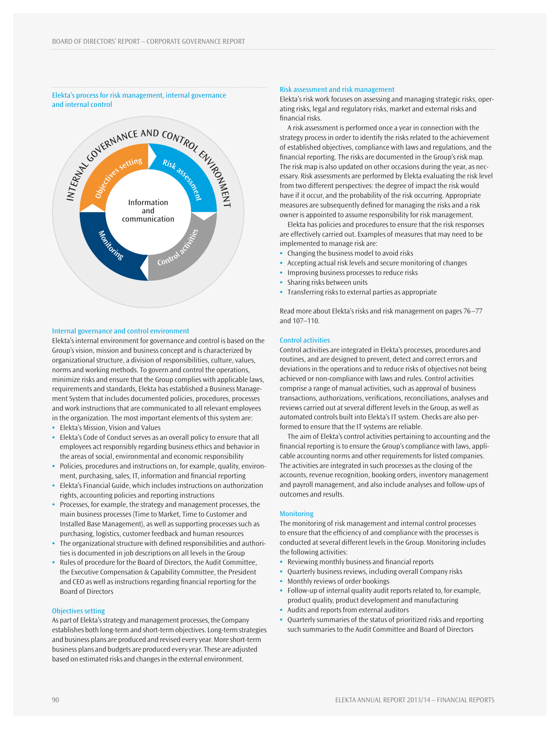### Elekta's process for risk management, internal governance and internal control



### Internal governance and control environment

Elekta's internal environment for governance and control is based on the Group's vision, mission and business concept and is characterized by organizational structure, a division of responsibilities, culture, values, norms and working methods. To govern and control the operations, minimize risks and ensure that the Group complies with applicable laws, requirements and standards, Elekta has established a Business Management System that includes documented policies, procedures, processes and work instructions that are communicated to all relevant employees in the organization. The most important elements of this system are:

- **•** Elekta's Mission, Vision and Values
- **•** Elekta's Code of Conduct serves as an overall policy to ensure that all employees act responsibly regarding business ethics and behavior in the areas of social, environmental and economic responsibility
- **•** Policies, procedures and instructions on, for example, quality, environment, purchasing, sales, IT, information and financial reporting
- **•** Elekta's Financial Guide, which includes instructions on authorization rights, accounting policies and reporting instructions
- **•** Processes, for example, the strategy and management processes, the main business processes (Time to Market, Time to Customer and Installed Base Management), as well as supporting processes such as purchasing, logistics, customer feedback and human resources
- **•** The organizational structure with defined responsibilities and authorities is documented in job descriptions on all levels in the Group
- **•** Rules of procedure for the Board of Directors, the Audit Committee, the Executive Compensation & Capability Committee, the President and CEO as well as instructions regarding financial reporting for the Board of Directors

### Objectives setting

As part of Elekta's strategy and management processes, the Company establishes both long-term and short-term objectives. Long-term strategies and business plans are produced and revised every year. More short-term business plans and budgets are produced every year. These are adjusted based on estimated risks and changes in the external environment.

### Risk assessment and risk management

Elekta's risk work focuses on assessing and managing strategic risks, operating risks, legal and regulatory risks, market and external risks and financial risks.

A risk assessment is performed once a year in connection with the strategy process in order to identify the risks related to the achievement of established objectives, compliance with laws and regulations, and the financial reporting. The risks are documented in the Group's risk map. The risk map is also updated on other occasions during the year, as necessary. Risk assessments are performed by Elekta evaluating the risk level from two different perspectives: the degree of impact the risk would have if it occur, and the probability of the risk occurring. Appropriate measures are subsequently defined for managing the risks and a risk owner is appointed to assume responsibility for risk management.

Elekta has policies and procedures to ensure that the risk responses are effectively carried out. Examples of measures that may need to be implemented to manage risk are:

- **•** Changing the business model to avoid risks
- **•** Accepting actual risk levels and secure monitoring of changes
- **•** Improving business processes to reduce risks
- **•** Sharing risks between units
- **•** Transferring risks to external parties as appropriate

Read more about Elekta's risks and risk management on pages 76–77 and 107–110.

### Control activities

Control activities are integrated in Elekta's processes, procedures and routines, and are designed to prevent, detect and correct errors and deviations in the operations and to reduce risks of objectives not being achieved or non-compliance with laws and rules. Control activities comprise a range of manual activities, such as approval of business transactions, authorizations, verifications, reconciliations, analyses and reviews carried out at several different levels in the Group, as well as automated controls built into Elekta's IT system. Checks are also performed to ensure that the IT systems are reliable.

The aim of Elekta's control activities pertaining to accounting and the financial reporting is to ensure the Group's compliance with laws, applicable accounting norms and other requirements for listed companies. The activities are integrated in such processes as the closing of the accounts, revenue recognition, booking orders, inventory management and payroll management, and also include analyses and follow-ups of outcomes and results.

### **Monitoring**

The monitoring of risk management and internal control processes to ensure that the efficiency of and compliance with the processes is conducted at several different levels in the Group. Monitoring includes the following activities:

- **•** Reviewing monthly business and financial reports
- **•** Quarterly business reviews, including overall Company risks
- **•** Monthly reviews of order bookings
- **•** Follow-up of internal quality audit reports related to, for example, product quality, product development and manufacturing
- **•** Audits and reports from external auditors
- **•** Quarterly summaries of the status of prioritized risks and reporting such summaries to the Audit Committee and Board of Directors